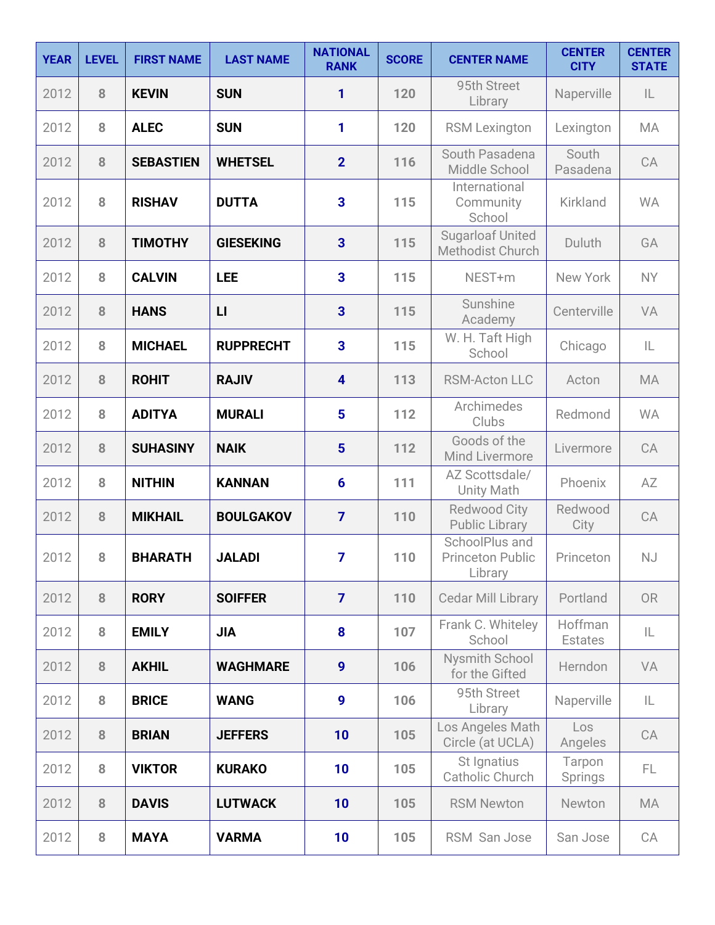| <b>YEAR</b> | <b>LEVEL</b> | <b>FIRST NAME</b> | <b>LAST NAME</b> | <b>NATIONAL</b><br><b>RANK</b> | <b>SCORE</b> | <b>CENTER NAME</b>                                   | <b>CENTER</b><br><b>CITY</b> | <b>CENTER</b><br><b>STATE</b> |
|-------------|--------------|-------------------|------------------|--------------------------------|--------------|------------------------------------------------------|------------------------------|-------------------------------|
| 2012        | 8            | <b>KEVIN</b>      | <b>SUN</b>       | 1                              | 120          | 95th Street<br>Library                               | Naperville                   | IL                            |
| 2012        | 8            | <b>ALEC</b>       | <b>SUN</b>       | 1                              | 120          | <b>RSM Lexington</b>                                 | Lexington                    | MA                            |
| 2012        | 8            | <b>SEBASTIEN</b>  | <b>WHETSEL</b>   | 2 <sup>2</sup>                 | 116          | South Pasadena<br>Middle School                      | South<br>Pasadena            | CA                            |
| 2012        | 8            | <b>RISHAV</b>     | <b>DUTTA</b>     | $\overline{3}$                 | 115          | International<br>Community<br>School                 | Kirkland                     | <b>WA</b>                     |
| 2012        | 8            | <b>TIMOTHY</b>    | <b>GIESEKING</b> | $\overline{3}$                 | 115          | <b>Sugarloaf United</b><br>Methodist Church          | Duluth                       | GA                            |
| 2012        | 8            | <b>CALVIN</b>     | <b>LEE</b>       | $\overline{\mathbf{3}}$        | 115          | NEST+m                                               | New York                     | <b>NY</b>                     |
| 2012        | 8            | <b>HANS</b>       | $\mathsf{L}$     | 3                              | 115          | Sunshine<br>Academy                                  | Centerville                  | VA                            |
| 2012        | 8            | <b>MICHAEL</b>    | <b>RUPPRECHT</b> | $\overline{\mathbf{3}}$        | 115          | W. H. Taft High<br>School                            | Chicago                      | IL                            |
| 2012        | 8            | <b>ROHIT</b>      | <b>RAJIV</b>     | $\overline{\mathbf{4}}$        | 113          | <b>RSM-Acton LLC</b>                                 | Acton                        | MA                            |
| 2012        | 8            | <b>ADITYA</b>     | <b>MURALI</b>    | 5                              | 112          | Archimedes<br>Clubs                                  | Redmond                      | <b>WA</b>                     |
| 2012        | 8            | <b>SUHASINY</b>   | <b>NAIK</b>      | 5                              | 112          | Goods of the<br>Mind Livermore                       | Livermore                    | CA                            |
| 2012        | 8            | <b>NITHIN</b>     | <b>KANNAN</b>    | $6\phantom{1}6$                | 111          | AZ Scottsdale/<br><b>Unity Math</b>                  | Phoenix                      | AZ                            |
| 2012        | 8            | <b>MIKHAIL</b>    | <b>BOULGAKOV</b> | $\overline{7}$                 | 110          | Redwood City<br><b>Public Library</b>                | Redwood<br>City              | CA                            |
| 2012        | 8            | <b>BHARATH</b>    | <b>JALADI</b>    | $\overline{7}$                 | 110          | SchoolPlus and<br><b>Princeton Public</b><br>Library | Princeton                    | NJ                            |
| 2012        | 8            | <b>RORY</b>       | <b>SOIFFER</b>   | $\overline{7}$                 | 110          | Cedar Mill Library                                   | Portland                     | <b>OR</b>                     |
| 2012        | 8            | <b>EMILY</b>      | <b>JIA</b>       | 8                              | 107          | Frank C. Whiteley<br>School                          | Hoffman<br><b>Estates</b>    | IL                            |
| 2012        | 8            | <b>AKHIL</b>      | <b>WAGHMARE</b>  | 9                              | 106          | Nysmith School<br>for the Gifted                     | Herndon                      | VA                            |
| 2012        | 8            | <b>BRICE</b>      | <b>WANG</b>      | 9                              | 106          | 95th Street<br>Library                               | Naperville                   | IL                            |
| 2012        | 8            | <b>BRIAN</b>      | <b>JEFFERS</b>   | 10                             | 105          | Los Angeles Math<br>Circle (at UCLA)                 | Los<br>Angeles               | CA                            |
| 2012        | 8            | <b>VIKTOR</b>     | <b>KURAKO</b>    | 10                             | 105          | St Ignatius<br>Catholic Church                       | Tarpon<br>Springs            | FL.                           |
| 2012        | 8            | <b>DAVIS</b>      | <b>LUTWACK</b>   | 10                             | 105          | <b>RSM Newton</b>                                    | Newton                       | MA                            |
| 2012        | 8            | <b>MAYA</b>       | <b>VARMA</b>     | 10                             | 105          | RSM San Jose                                         | San Jose                     | CA                            |